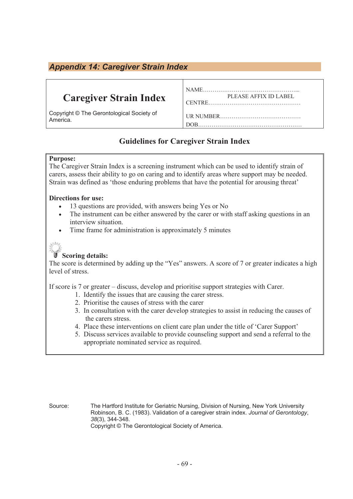### *Appendix 14: Caregiver Strain Index*

## **Caregiver Strain Index**

Copyright © The Gerontological Society of America.

| PLEASE AFFIX ID LABEL |  |
|-----------------------|--|
|                       |  |
|                       |  |
|                       |  |
|                       |  |

### **Guidelines for Caregiver Strain Index**

#### **Purpose:**

The Caregiver Strain Index is a screening instrument which can be used to identify strain of carers, assess their ability to go on caring and to identify areas where support may be needed. Strain was defined as 'those enduring problems that have the potential for arousing threat'

#### **Directions for use:**

- 13 questions are provided, with answers being Yes or No
- The instrument can be either answered by the carer or with staff asking questions in an interview situation.
- Time frame for administration is approximately 5 minutes



#### **Scoring details:**

The score is determined by adding up the "Yes" answers. A score of 7 or greater indicates a high level of stress.

If score is 7 or greater – discuss, develop and prioritise support strategies with Carer.

- 1. Identify the issues that are causing the carer stress.
- 2. Prioritise the causes of stress with the carer
- 3. In consultation with the carer develop strategies to assist in reducing the causes of the carers stress.
- 4. Place these interventions on client care plan under the title of 'Carer Support'
- 5. Discuss services available to provide counseling support and send a referral to the appropriate nominated service as required.

Source: The Hartford Institute for Geriatric Nursing, Division of Nursing, New York University Robinson, B. C. (1983). Validation of a caregiver strain index. *Journal of Gerontology*, *38*(3), 344-348. Copyright © The Gerontological Society of America.